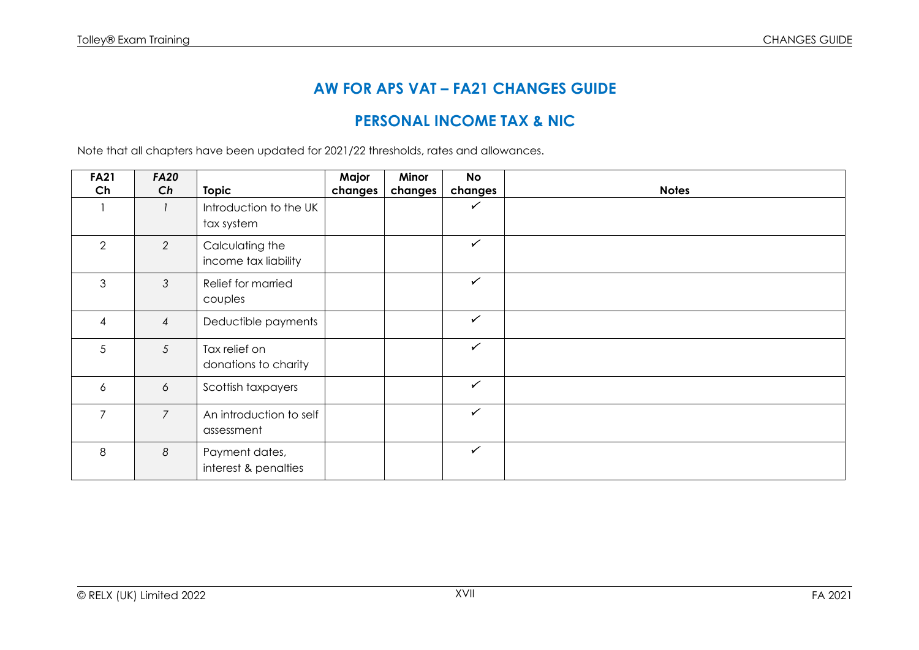# **AW FOR APS VAT – FA21 CHANGES GUIDE**

## **PERSONAL INCOME TAX & NIC**

Note that all chapters have been updated for 2021/22 thresholds, rates and allowances.

| <b>FA21</b>    | <b>FA20</b>    |                                         | Major   | Minor   | <b>No</b>    |              |
|----------------|----------------|-----------------------------------------|---------|---------|--------------|--------------|
| Ch             | Ch             | <b>Topic</b>                            | changes | changes | changes      | <b>Notes</b> |
|                |                | Introduction to the UK<br>tax system    |         |         | ✓            |              |
| 2              | 2              | Calculating the<br>income tax liability |         |         | $\checkmark$ |              |
| 3              | 3              | Relief for married<br>couples           |         |         | $\checkmark$ |              |
| 4              | $\overline{4}$ | Deductible payments                     |         |         | $\checkmark$ |              |
| 5              | 5              | Tax relief on<br>donations to charity   |         |         | $\checkmark$ |              |
| 6              | 6              | Scottish taxpayers                      |         |         | $\checkmark$ |              |
| $\overline{7}$ | $\overline{7}$ | An introduction to self<br>assessment   |         |         | $\checkmark$ |              |
| 8              | 8              | Payment dates,<br>interest & penalties  |         |         | $\checkmark$ |              |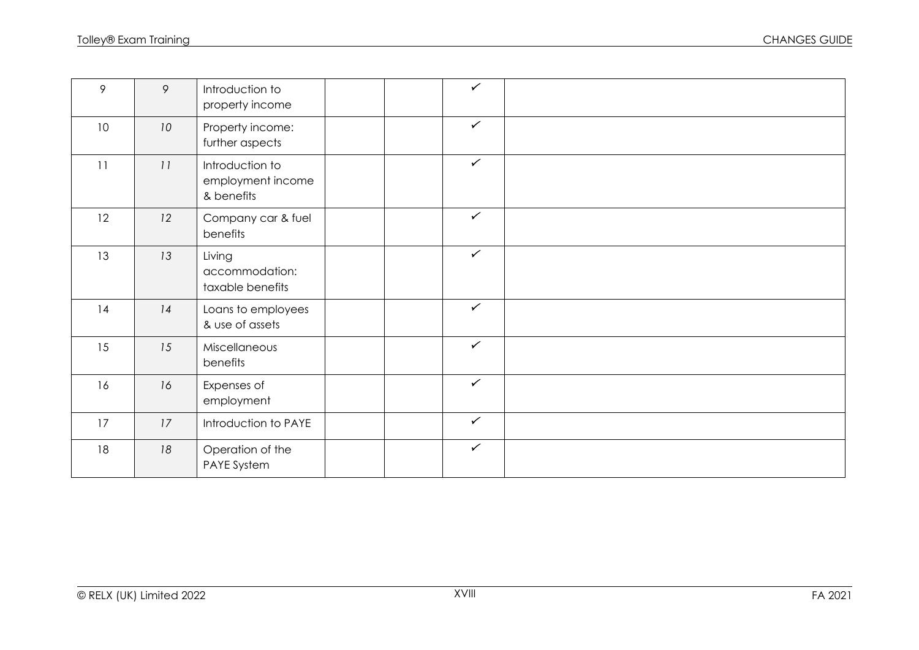| 9  | $\circ$         | Introduction to<br>property income                 |  | $\checkmark$ |  |
|----|-----------------|----------------------------------------------------|--|--------------|--|
| 10 | 10 <sup>°</sup> | Property income:<br>further aspects                |  | $\checkmark$ |  |
| 11 | 11              | Introduction to<br>employment income<br>& benefits |  | $\checkmark$ |  |
| 12 | 12              | Company car & fuel<br>benefits                     |  | $\checkmark$ |  |
| 13 | 13              | Living<br>accommodation:<br>taxable benefits       |  | $\checkmark$ |  |
| 14 | 14              | Loans to employees<br>& use of assets              |  | $\checkmark$ |  |
| 15 | 15              | Miscellaneous<br>benefits                          |  | $\checkmark$ |  |
| 16 | 16              | Expenses of<br>employment                          |  | $\checkmark$ |  |
| 17 | 17              | Introduction to PAYE                               |  | $\checkmark$ |  |
| 18 | 18              | Operation of the<br>PAYE System                    |  | $\checkmark$ |  |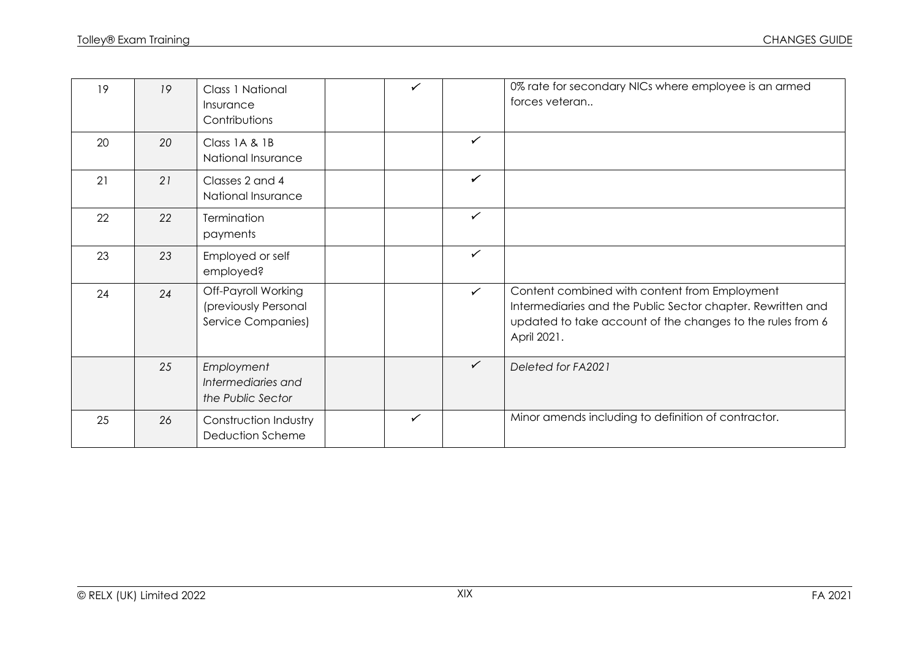| 19 | 19 | Class 1 National<br>Insurance<br>Contributions                    | $\checkmark$ |              | 0% rate for secondary NICs where employee is an armed<br>forces veteran                                                                                                                   |
|----|----|-------------------------------------------------------------------|--------------|--------------|-------------------------------------------------------------------------------------------------------------------------------------------------------------------------------------------|
| 20 | 20 | Class 1A & 1B<br>National Insurance                               |              | $\checkmark$ |                                                                                                                                                                                           |
| 21 | 21 | Classes 2 and 4<br>National Insurance                             |              | $\checkmark$ |                                                                                                                                                                                           |
| 22 | 22 | Termination<br>payments                                           |              | $\checkmark$ |                                                                                                                                                                                           |
| 23 | 23 | Employed or self<br>employed?                                     |              | $\checkmark$ |                                                                                                                                                                                           |
| 24 | 24 | Off-Payroll Working<br>(previously Personal<br>Service Companies) |              | $\checkmark$ | Content combined with content from Employment<br>Intermediaries and the Public Sector chapter. Rewritten and<br>updated to take account of the changes to the rules from 6<br>April 2021. |
|    | 25 | Employment<br>Intermediaries and<br>the Public Sector             |              | $\checkmark$ | Deleted for FA2021                                                                                                                                                                        |
| 25 | 26 | Construction Industry<br>Deduction Scheme                         | $\checkmark$ |              | Minor amends including to definition of contractor.                                                                                                                                       |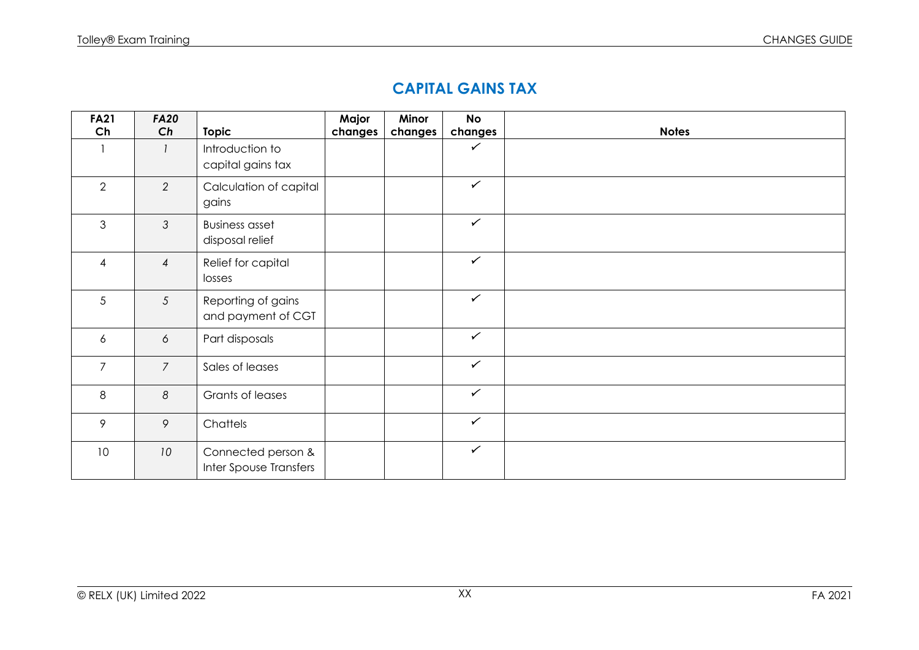### **CAPITAL GAINS TAX**

| <b>FA21</b>    | <b>FA20</b>    |                                              | Major   | Minor   | <b>No</b>    |              |
|----------------|----------------|----------------------------------------------|---------|---------|--------------|--------------|
| Ch             | Ch             | <b>Topic</b>                                 | changes | changes | changes      | <b>Notes</b> |
|                |                | Introduction to<br>capital gains tax         |         |         | ✓            |              |
| $\overline{2}$ | 2              | Calculation of capital<br>gains              |         |         | $\checkmark$ |              |
| $\mathfrak{S}$ | $\mathfrak{Z}$ | <b>Business asset</b><br>disposal relief     |         |         | $\checkmark$ |              |
| $\overline{4}$ | $\overline{4}$ | Relief for capital<br>losses                 |         |         | $\checkmark$ |              |
| 5              | $\mathfrak{S}$ | Reporting of gains<br>and payment of CGT     |         |         | $\checkmark$ |              |
| 6              | 6              | Part disposals                               |         |         | $\checkmark$ |              |
| $\overline{7}$ | $\overline{7}$ | Sales of leases                              |         |         | $\checkmark$ |              |
| 8              | $8\,$          | Grants of leases                             |         |         | $\checkmark$ |              |
| 9              | 9              | Chattels                                     |         |         | $\checkmark$ |              |
| 10             | 10             | Connected person &<br>Inter Spouse Transfers |         |         | $\checkmark$ |              |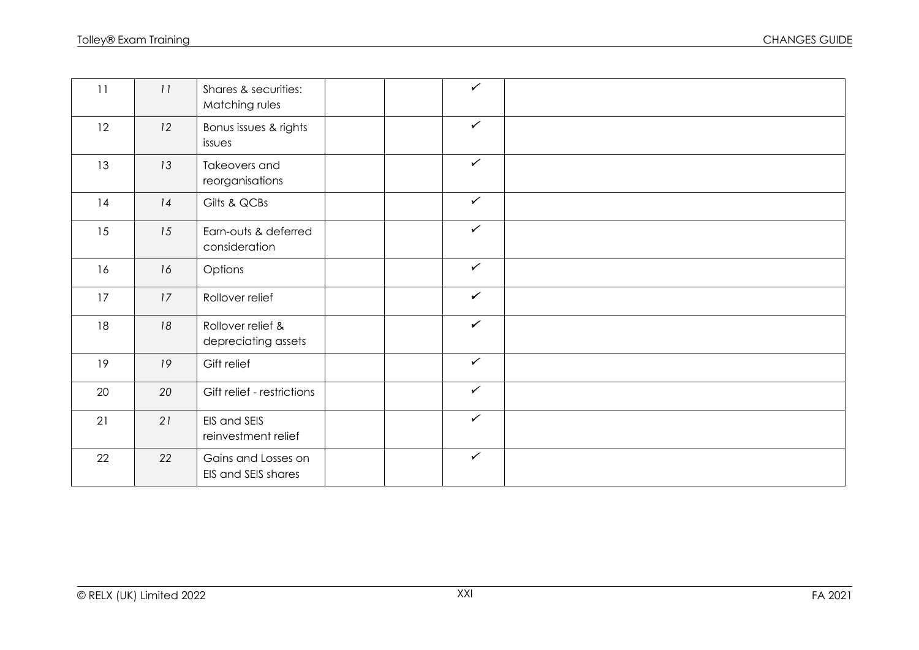| 11 | 11 | Shares & securities:<br>Matching rules     | $\checkmark$ |  |
|----|----|--------------------------------------------|--------------|--|
| 12 | 12 | Bonus issues & rights<br>issues            | $\checkmark$ |  |
| 13 | 13 | Takeovers and<br>reorganisations           | $\checkmark$ |  |
| 14 | 14 | Gilts & QCBs                               | $\checkmark$ |  |
| 15 | 15 | Earn-outs & deferred<br>consideration      | $\checkmark$ |  |
| 16 | 16 | Options                                    | $\checkmark$ |  |
| 17 | 17 | Rollover relief                            | $\checkmark$ |  |
| 18 | 18 | Rollover relief &<br>depreciating assets   | $\checkmark$ |  |
| 19 | 19 | Gift relief                                | $\checkmark$ |  |
| 20 | 20 | Gift relief - restrictions                 | $\checkmark$ |  |
| 21 | 21 | EIS and SEIS<br>reinvestment relief        | $\checkmark$ |  |
| 22 | 22 | Gains and Losses on<br>EIS and SEIS shares | $\checkmark$ |  |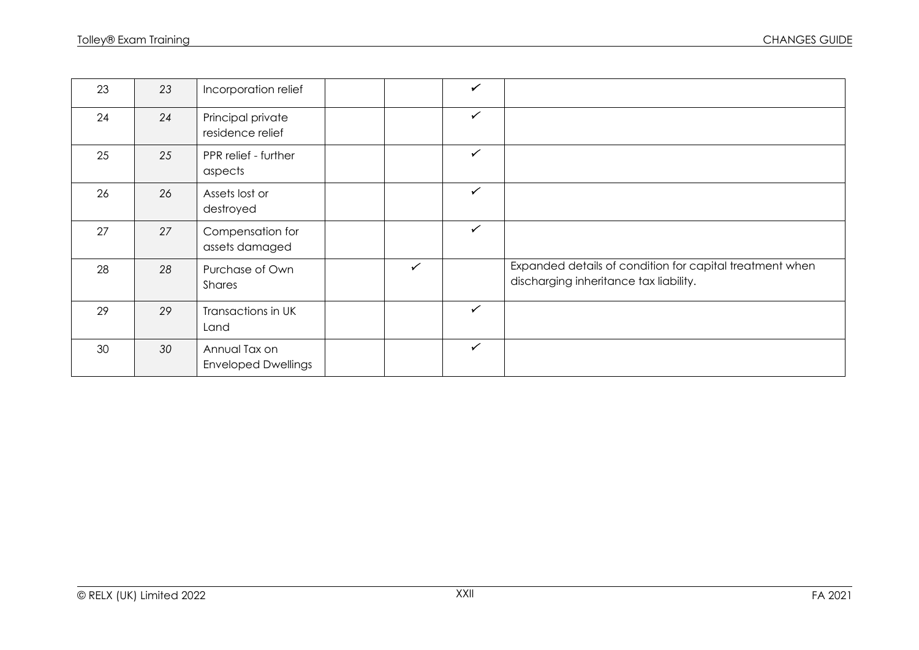| 23 | 23 | Incorporation relief                        |              | $\checkmark$ |                                                                                                    |
|----|----|---------------------------------------------|--------------|--------------|----------------------------------------------------------------------------------------------------|
| 24 | 24 | Principal private<br>residence relief       |              | $\checkmark$ |                                                                                                    |
| 25 | 25 | PPR relief - further<br>aspects             |              | $\checkmark$ |                                                                                                    |
| 26 | 26 | Assets lost or<br>destroyed                 |              | $\checkmark$ |                                                                                                    |
| 27 | 27 | Compensation for<br>assets damaged          |              | $\checkmark$ |                                                                                                    |
| 28 | 28 | Purchase of Own<br>Shares                   | $\checkmark$ |              | Expanded details of condition for capital treatment when<br>discharging inheritance tax liability. |
| 29 | 29 | Transactions in UK<br>Land                  |              | $\checkmark$ |                                                                                                    |
| 30 | 30 | Annual Tax on<br><b>Enveloped Dwellings</b> |              | $\checkmark$ |                                                                                                    |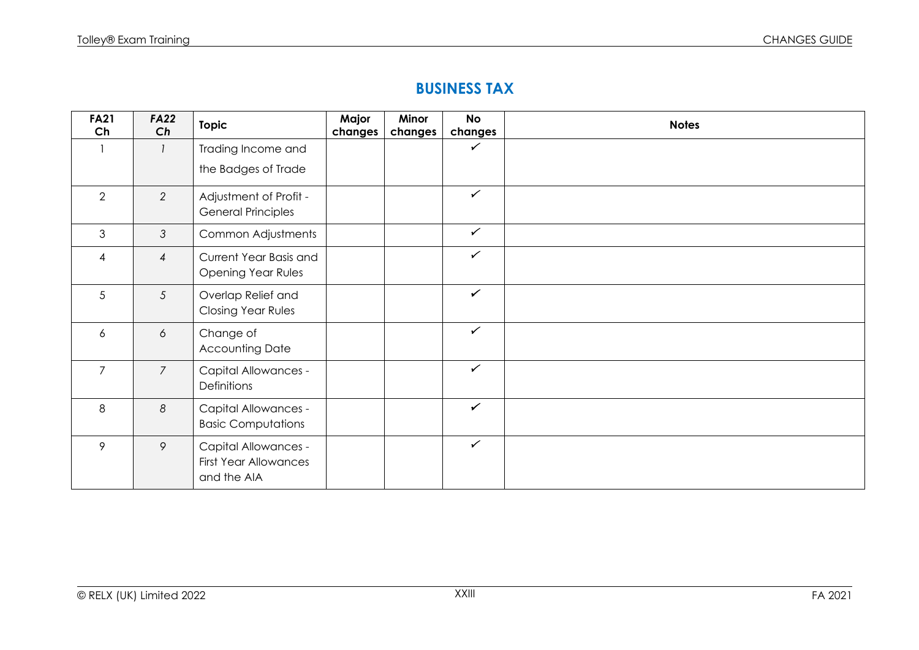#### **BUSINESS TAX**

| <b>FA21</b><br>Ch | <b>FA22</b><br>Ch | <b>Topic</b>                                                               | Major<br>changes | Minor<br>changes | <b>No</b><br>changes | <b>Notes</b> |
|-------------------|-------------------|----------------------------------------------------------------------------|------------------|------------------|----------------------|--------------|
|                   |                   | Trading Income and                                                         |                  |                  | $\checkmark$         |              |
|                   |                   | the Badges of Trade                                                        |                  |                  |                      |              |
| $\overline{2}$    | $\overline{2}$    | Adjustment of Profit -<br><b>General Principles</b>                        |                  |                  | $\checkmark$         |              |
| 3                 | $\mathfrak{Z}$    | Common Adjustments                                                         |                  |                  | $\checkmark$         |              |
| $\overline{4}$    | $\overline{4}$    | Current Year Basis and<br><b>Opening Year Rules</b>                        |                  |                  | $\checkmark$         |              |
| 5                 | 5                 | Overlap Relief and<br><b>Closing Year Rules</b>                            |                  |                  | $\checkmark$         |              |
| 6                 | 6                 | Change of<br><b>Accounting Date</b>                                        |                  |                  | $\checkmark$         |              |
| $\overline{7}$    | $\overline{7}$    | <b>Capital Allowances -</b><br>Definitions                                 |                  |                  | $\checkmark$         |              |
| 8                 | 8                 | <b>Capital Allowances -</b><br><b>Basic Computations</b>                   |                  |                  | $\checkmark$         |              |
| 9                 | 9                 | <b>Capital Allowances -</b><br><b>First Year Allowances</b><br>and the AIA |                  |                  | $\checkmark$         |              |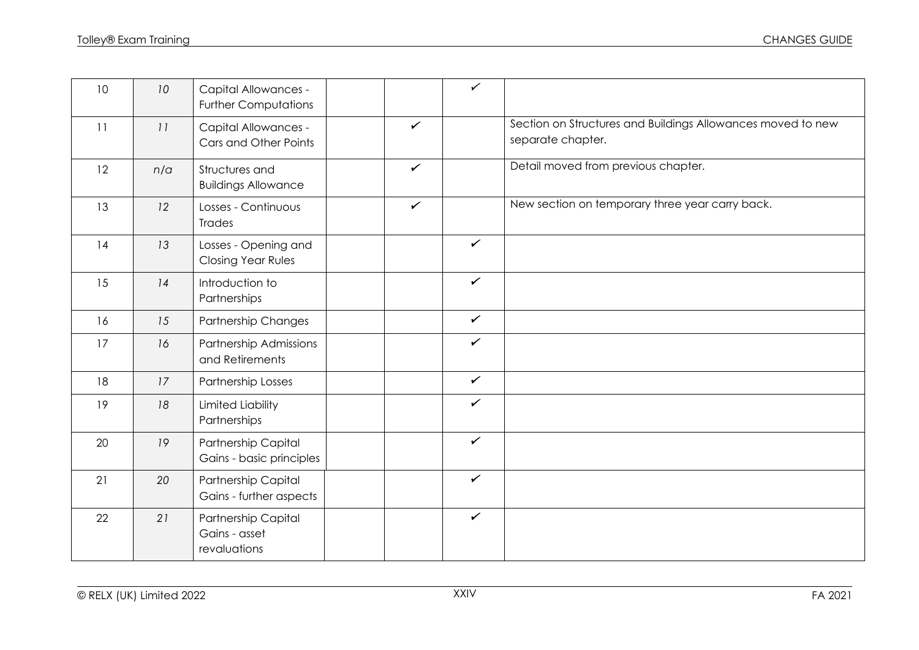| 10 | 10 <sup>°</sup> | <b>Capital Allowances -</b><br><b>Further Computations</b> |              | $\checkmark$ |                                                                                  |
|----|-----------------|------------------------------------------------------------|--------------|--------------|----------------------------------------------------------------------------------|
| 11 | 11              | Capital Allowances -<br>Cars and Other Points              | $\checkmark$ |              | Section on Structures and Buildings Allowances moved to new<br>separate chapter. |
| 12 | n/a             | Structures and<br><b>Buildings Allowance</b>               | $\checkmark$ |              | Detail moved from previous chapter.                                              |
| 13 | 12              | Losses - Continuous<br>Trades                              | $\checkmark$ |              | New section on temporary three year carry back.                                  |
| 14 | 13              | Losses - Opening and<br>Closing Year Rules                 |              | $\checkmark$ |                                                                                  |
| 15 | 14              | Introduction to<br>Partnerships                            |              | $\checkmark$ |                                                                                  |
| 16 | 15              | <b>Partnership Changes</b>                                 |              | $\checkmark$ |                                                                                  |
| 17 | 16              | Partnership Admissions<br>and Retirements                  |              | $\checkmark$ |                                                                                  |
| 18 | 17              | Partnership Losses                                         |              | $\checkmark$ |                                                                                  |
| 19 | 18              | <b>Limited Liability</b><br>Partnerships                   |              | $\checkmark$ |                                                                                  |
| 20 | 19              | <b>Partnership Capital</b><br>Gains - basic principles     |              | $\checkmark$ |                                                                                  |
| 21 | 20              | Partnership Capital<br>Gains - further aspects             |              | $\checkmark$ |                                                                                  |
| 22 | 21              | Partnership Capital<br>Gains - asset<br>revaluations       |              | $\checkmark$ |                                                                                  |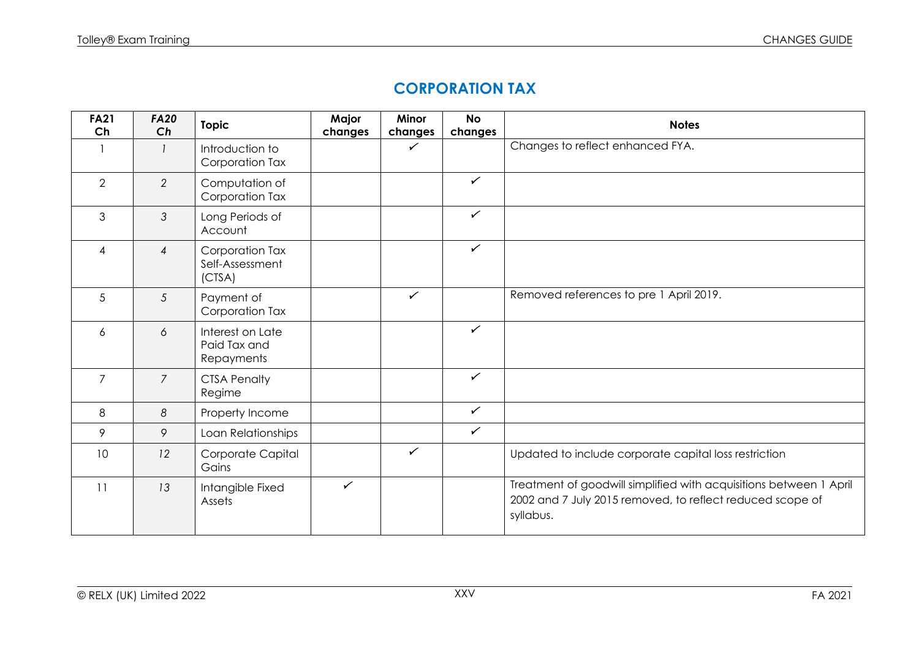### **CORPORATION TAX**

| <b>FA21</b><br>Ch | <b>FA20</b><br>Ch | <b>Topic</b>                                   | Major<br>changes | <b>Minor</b><br>changes | <b>No</b><br>changes | <b>Notes</b>                                                                                                                                 |
|-------------------|-------------------|------------------------------------------------|------------------|-------------------------|----------------------|----------------------------------------------------------------------------------------------------------------------------------------------|
|                   |                   | Introduction to<br>Corporation Tax             |                  | ✓                       |                      | Changes to reflect enhanced FYA.                                                                                                             |
| $\overline{2}$    | $\overline{2}$    | Computation of<br>Corporation Tax              |                  |                         | $\checkmark$         |                                                                                                                                              |
| 3                 | 3                 | Long Periods of<br>Account                     |                  |                         | $\checkmark$         |                                                                                                                                              |
| $\overline{4}$    | $\overline{4}$    | Corporation Tax<br>Self-Assessment<br>(CTSA)   |                  |                         | $\checkmark$         |                                                                                                                                              |
| 5                 | 5                 | Payment of<br>Corporation Tax                  |                  | ✓                       |                      | Removed references to pre 1 April 2019.                                                                                                      |
| 6                 | 6                 | Interest on Late<br>Paid Tax and<br>Repayments |                  |                         | $\checkmark$         |                                                                                                                                              |
| $\overline{7}$    | $\overline{7}$    | <b>CTSA Penalty</b><br>Regime                  |                  |                         | $\checkmark$         |                                                                                                                                              |
| 8                 | 8                 | Property Income                                |                  |                         | $\checkmark$         |                                                                                                                                              |
| 9                 | 9                 | Loan Relationships                             |                  |                         | $\checkmark$         |                                                                                                                                              |
| 10                | 12                | Corporate Capital<br>Gains                     |                  | $\checkmark$            |                      | Updated to include corporate capital loss restriction                                                                                        |
| 11                | 13                | Intangible Fixed<br>Assets                     | $\checkmark$     |                         |                      | Treatment of goodwill simplified with acquisitions between 1 April<br>2002 and 7 July 2015 removed, to reflect reduced scope of<br>syllabus. |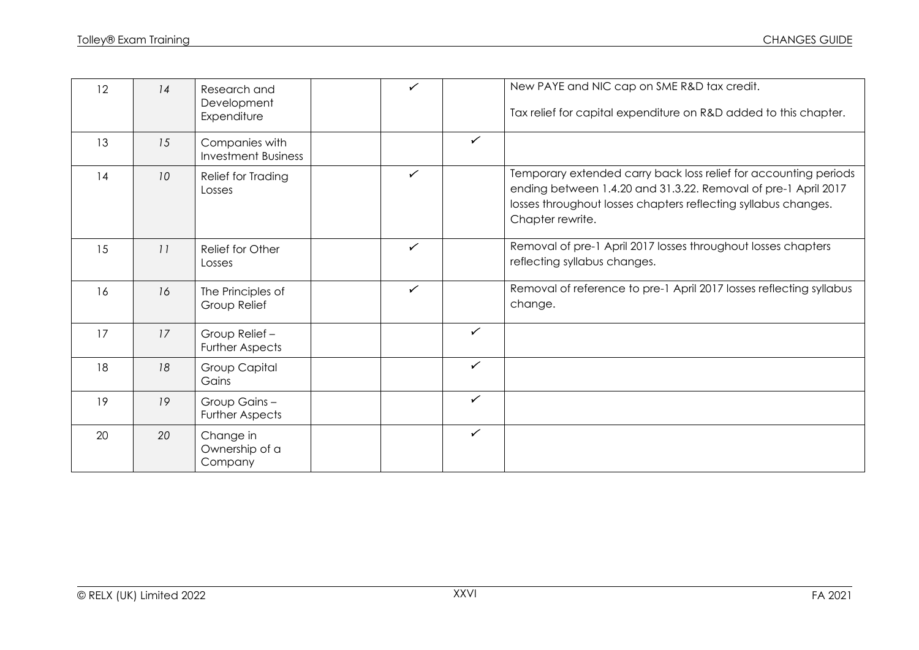| 12 | 14              | Research and<br>Development<br>Expenditure   | ✓            |              | New PAYE and NIC cap on SME R&D tax credit.<br>Tax relief for capital expenditure on R&D added to this chapter.                                                                                                          |
|----|-----------------|----------------------------------------------|--------------|--------------|--------------------------------------------------------------------------------------------------------------------------------------------------------------------------------------------------------------------------|
| 13 | 15              | Companies with<br><b>Investment Business</b> |              | $\checkmark$ |                                                                                                                                                                                                                          |
| 14 | 10 <sup>°</sup> | Relief for Trading<br>Losses                 | ✓            |              | Temporary extended carry back loss relief for accounting periods<br>ending between 1.4.20 and 31.3.22. Removal of pre-1 April 2017<br>losses throughout losses chapters reflecting syllabus changes.<br>Chapter rewrite. |
| 15 | 11              | Relief for Other<br>Losses                   | ✓            |              | Removal of pre-1 April 2017 losses throughout losses chapters<br>reflecting syllabus changes.                                                                                                                            |
| 16 | 16              | The Principles of<br>Group Relief            | $\checkmark$ |              | Removal of reference to pre-1 April 2017 losses reflecting syllabus<br>change.                                                                                                                                           |
| 17 | 17              | Group Relief-<br><b>Further Aspects</b>      |              | $\checkmark$ |                                                                                                                                                                                                                          |
| 18 | 18              | <b>Group Capital</b><br>Gains                |              | $\checkmark$ |                                                                                                                                                                                                                          |
| 19 | 19              | Group Gains-<br><b>Further Aspects</b>       |              | $\checkmark$ |                                                                                                                                                                                                                          |
| 20 | 20              | Change in<br>Ownership of a<br>Company       |              | $\checkmark$ |                                                                                                                                                                                                                          |